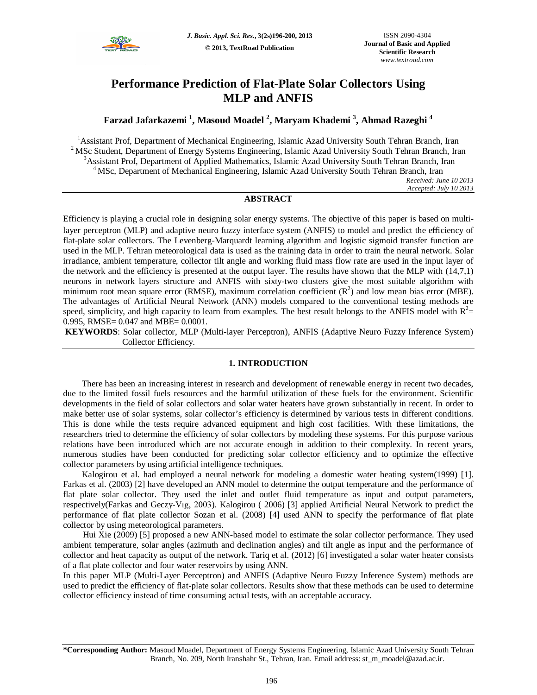

# **Performance Prediction of Flat-Plate Solar Collectors Using MLP and ANFIS**

# **Farzad Jafarkazemi <sup>1</sup> , Masoud Moadel <sup>2</sup> , Maryam Khademi <sup>3</sup> , Ahmad Razeghi <sup>4</sup>**

<sup>1</sup>Assistant Prof, Department of Mechanical Engineering, Islamic Azad University South Tehran Branch, Iran <sup>2</sup> MSc Student, Department of Energy Systems Engineering, Islamic Azad University South Tehran Branch, Iran <sup>3</sup>Assistant Prof, Department of Applied Mathematics, Islamic Azad University South Tehran Branch, Iran <sup>4</sup>MSc, Department of Mechanical Engineering, Islamic Azad University South Tehran Branch, Iran *Received: June 10 2013 Accepted: July 10 2013*

### **ABSTRACT**

Efficiency is playing a crucial role in designing solar energy systems. The objective of this paper is based on multilayer perceptron (MLP) and adaptive neuro fuzzy interface system (ANFIS) to model and predict the efficiency of flat-plate solar collectors. The Levenberg-Marquardt learning algorithm and logistic sigmoid transfer function are used in the MLP. Tehran meteorological data is used as the training data in order to train the neural network. Solar irradiance, ambient temperature, collector tilt angle and working fluid mass flow rate are used in the input layer of the network and the efficiency is presented at the output layer. The results have shown that the MLP with (14,7,1) neurons in network layers structure and ANFIS with sixty-two clusters give the most suitable algorithm with minimum root mean square error (RMSE), maximum correlation coefficient  $(R^2)$  and low mean bias error (MBE). The advantages of Artificial Neural Network (ANN) models compared to the conventional testing methods are speed, simplicity, and high capacity to learn from examples. The best result belongs to the ANFIS model with  $R^2$  = 0.995, RMSE= 0.047 and MBE= 0.0001.

**KEYWORDS**: Solar collector, MLP (Multi-layer Perceptron), ANFIS (Adaptive Neuro Fuzzy Inference System) Collector Efficiency.

### **1. INTRODUCTION**

There has been an increasing interest in research and development of renewable energy in recent two decades, due to the limited fossil fuels resources and the harmful utilization of these fuels for the environment. Scientific developments in the field of solar collectors and solar water heaters have grown substantially in recent. In order to make better use of solar systems, solar collector's efficiency is determined by various tests in different conditions. This is done while the tests require advanced equipment and high cost facilities. With these limitations, the researchers tried to determine the efficiency of solar collectors by modeling these systems. For this purpose various relations have been introduced which are not accurate enough in addition to their complexity. In recent years, numerous studies have been conducted for predicting solar collector efficiency and to optimize the effective collector parameters by using artificial intelligence techniques.

Kalogirou et al. had employed a neural network for modeling a domestic water heating system(1999) [1]. Farkas et al. (2003) [2] have developed an ANN model to determine the output temperature and the performance of flat plate solar collector. They used the inlet and outlet fluid temperature as input and output parameters, respectively(Farkas and Geczy-Vıg, 2003). Kalogirou ( 2006) [3] applied Artificial Neural Network to predict the performance of flat plate collector Sozan et al. (2008) [4] used ANN to specify the performance of flat plate collector by using meteorological parameters.

Hui Xie (2009) [5] proposed a new ANN-based model to estimate the solar collector performance. They used ambient temperature, solar angles (azimuth and declination angles) and tilt angle as input and the performance of collector and heat capacity as output of the network. Tariq et al. (2012) [6] investigated a solar water heater consists of a flat plate collector and four water reservoirs by using ANN.

In this paper MLP (Multi-Layer Perceptron) and ANFIS (Adaptive Neuro Fuzzy Inference System) methods are used to predict the efficiency of flat-plate solar collectors. Results show that these methods can be used to determine collector efficiency instead of time consuming actual tests, with an acceptable accuracy.

**\*Corresponding Author:** Masoud Moadel, Department of Energy Systems Engineering, Islamic Azad University South Tehran Branch, No. 209, North Iranshahr St., Tehran, Iran. Email address: st\_m\_moadel@azad.ac.ir.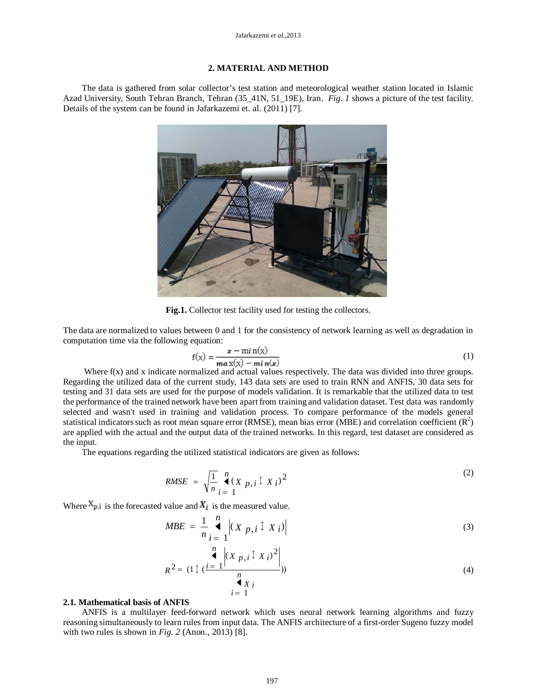## **2. MATERIAL AND METHOD**

The data is gathered from solar collector's test station and meteorological weather station located in Islamic Azad University, South Tehran Branch, Tehran (35\_41N, 51\_19E), Iran. *Fig*. *1* shows a picture of the test facility. Details of the system can be found in Jafarkazemi et. al. (2011) [7].



**Fig.1.** Collector test facility used for testing the collectors.

The data are normalized to values between 0 and 1 for the consistency of network learning as well as degradation in computation time via the following equation:

$$
f(x) = \frac{x - \min(x)}{\max(x) - \min(x)}\tag{1}
$$

Where  $f(x)$  and x indicate normalized and actual values respectively. The data was divided into three groups. Regarding the utilized data of the current study, 143 data sets are used to train RNN and ANFIS, 30 data sets for testing and 31 data sets are used for the purpose of models validation. It is remarkable that the utilized data to test the performance of the trained network have been apart from training and validation dataset. Test data was randomly selected and wasn't used in training and validation process. To compare performance of the models general statistical indicators such as root mean square error (RMSE), mean bias error (MBE) and correlation coefficient  $(R^2)$ are applied with the actual and the output data of the trained networks. In this regard, test dataset are considered as the input.

The equations regarding the utilized statistical indicators are given as follows:

$$
RMSE = \sqrt{\frac{1}{n}} \int_{i=1}^{n} (X p, i \uparrow X i)^2
$$
 (2)

Where  $X_{p,i}$  is the forecasted value and  $X_i$  is the measured value.

$$
MBE = \frac{1}{n} \bigg|_{i=1}^{n} \left| (X p, i \downarrow X i) \right| \tag{3}
$$

$$
R^{2} = (1 \downarrow (\underbrace{i=1}^{n} \left| (X p, i \downarrow X i)^{2} \right|_{i=1})^{n})
$$
\n
$$
(4)
$$

#### **2.1. Mathematical basis of ANFIS**

ANFIS is a multilayer feed-forward network which uses neural network learning algorithms and fuzzy reasoning simultaneously to learn rules from input data. The ANFIS architecture of a first-order Sugeno fuzzy model with two rules is shown in *Fig. 2* (Anon., 2013) [8].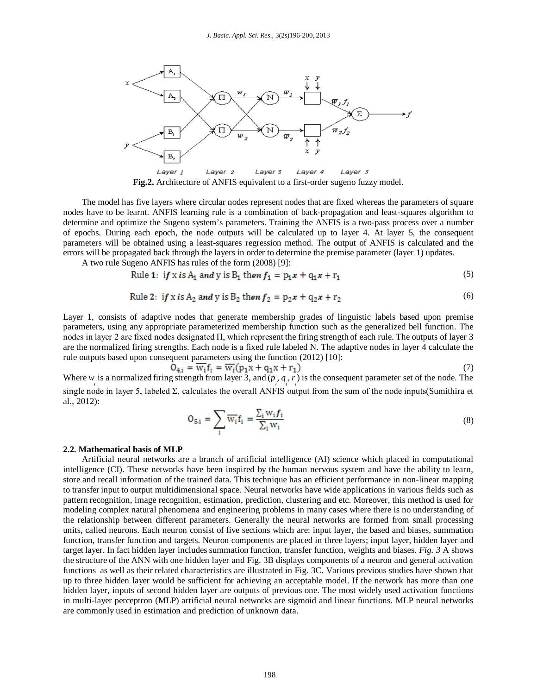

**Fig.2.** Architecture of ANFIS equivalent to a first-order sugeno fuzzy model.

The model has five layers where circular nodes represent nodes that are fixed whereas the parameters of square nodes have to be learnt. ANFIS learning rule is a combination of back-propagation and least-squares algorithm to determine and optimize the Sugeno system's parameters. Training the ANFIS is a two-pass process over a number of epochs. During each epoch, the node outputs will be calculated up to layer 4. At layer 5, the consequent parameters will be obtained using a least-squares regression method. The output of ANFIS is calculated and the errors will be propagated back through the layers in order to determine the premise parameter (layer 1) updates.

A two rule Sugeno ANFIS has rules of the form (2008) [9]:

Rule 1: if x is A<sub>1</sub> and y is B<sub>1</sub> then 
$$
f_1 = p_1 x + q_1 x + r_1
$$
 (5)

Rule 2: if x is A<sub>2</sub> and y is B<sub>2</sub> then 
$$
f_2 = p_2 x + q_2 x + r_2
$$
 (6)

Layer 1, consists of adaptive nodes that generate membership grades of linguistic labels based upon premise parameters, using any appropriate parameterized membership function such as the generalized bell function. The nodes in layer 2 are fixed nodes designated Π, which represent the firing strength of each rule. The outputs of layer 3 are the normalized firing strengths. Each node is a fixed rule labeled N. The adaptive nodes in layer 4 calculate the rule outputs based upon consequent parameters using the function (2012) [10]:

$$
O_{4,i} = \overline{W_i} f_i = \overline{W_i} (p_1 x + q_1 x + r_1)
$$
\n
$$
\tag{7}
$$

Where  $w_i$  is a normalized firing strength from layer 3, and  $(p_i, q_i, r_j)$  is the consequent parameter set of the node. The single node in layer 5, labeled Σ, calculates the overall ANFIS output from the sum of the node inputs(Sumithira et al., 2012):

$$
O_{5,i} = \sum_{i} \overline{w_i} f_i = \frac{\sum_{i} w_i f_i}{\sum_{i} w_i}
$$
 (8)

#### **2.2. Mathematical basis of MLP**

Artificial neural networks are a branch of artificial intelligence (AI) science which placed in computational intelligence (CI). These networks have been inspired by the human nervous system and have the ability to learn, store and recall information of the trained data. This technique has an efficient performance in non-linear mapping to transfer input to output multidimensional space. Neural networks have wide applications in various fields such as pattern recognition, image recognition, estimation, prediction, clustering and etc. Moreover, this method is used for modeling complex natural phenomena and engineering problems in many cases where there is no understanding of the relationship between different parameters. Generally the neural networks are formed from small processing units, called neurons. Each neuron consist of five sections which are: input layer, the based and biases, summation function, transfer function and targets. Neuron components are placed in three layers; input layer, hidden layer and target layer. In fact hidden layer includes summation function, transfer function, weights and biases. *Fig. 3* A shows the structure of the ANN with one hidden layer and Fig. 3B displays components of a neuron and general activation functions as well as their related characteristics are illustrated in Fig. 3C. Various previous studies have shown that up to three hidden layer would be sufficient for achieving an acceptable model. If the network has more than one hidden layer, inputs of second hidden layer are outputs of previous one. The most widely used activation functions in multi-layer perceptron (MLP) artificial neural networks are sigmoid and linear functions. MLP neural networks are commonly used in estimation and prediction of unknown data.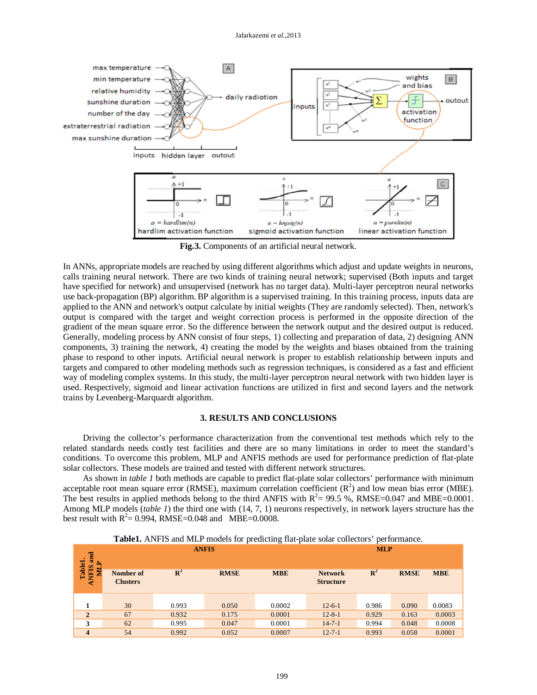

**Fig.3.** Components of an artificial neural network.

In ANNs, appropriate models are reached by using different algorithms which adjust and update weights in neurons, calls training neural network. There are two kinds of training neural network; supervised (Both inputs and target have specified for network) and unsupervised (network has no target data). Multi-layer perceptron neural networks use back-propagation (BP) algorithm. BP algorithm is a supervised training. In this training process, inputs data are applied to the ANN and network's output calculate by initial weights (They are randomly selected). Then, network's output is compared with the target and weight correction process is performed in the opposite direction of the gradient of the mean square error. So the difference between the network output and the desired output is reduced. Generally, modeling process by ANN consist of four steps, 1) collecting and preparation of data, 2) designing ANN components, 3) training the network, 4) creating the model by the weights and biases obtained from the training phase to respond to other inputs. Artificial neural network is proper to establish relationship between inputs and targets and compared to other modeling methods such as regression techniques, is considered as a fast and efficient way of modeling complex systems. In this study, the multi-layer perceptron neural network with two hidden layer is used. Respectively, sigmoid and linear activation functions are utilized in first and second layers and the network trains by Levenberg-Marquardt algorithm.

# **3. RESULTS AND CONCLUSIONS**

Driving the collector's performance characterization from the conventional test methods which rely to the related standards needs costly test facilities and there are so many limitations in order to meet the standard's conditions. To overcome this problem, MLP and ANFIS methods are used for performance prediction of flat-plate solar collectors. These models are trained and tested with different network structures.

As shown in *table 1* both methods are capable to predict flat-plate solar collectors' performance with minimum acceptable root mean square error (RMSE), maximum correlation coefficient  $(R^2)$  and low mean bias error (MBE). The best results in applied methods belong to the third ANFIS with  $R^2 = 99.5$  %, RMSE=0.047 and MBE=0.0001. Among MLP models (*table 1*) the third one with (14, 7, 1) neurons respectively, in network layers structure has the best result with  $R^2 = 0.994$ , RMSE=0.048 and MBE=0.0008.

| and<br>≏                    | <b>ANFIS</b>                 |       |             |            | <b>MLP</b>                         |                |             |            |
|-----------------------------|------------------------------|-------|-------------|------------|------------------------------------|----------------|-------------|------------|
| Tablel<br><b>ANFIS</b><br>≣ | Nomber of<br><b>Clusters</b> | $R^2$ | <b>RMSE</b> | <b>MBE</b> | <b>Network</b><br><b>Structure</b> | $\mathbf{R}^2$ | <b>RMSE</b> | <b>MBE</b> |
|                             | 30                           | 0.993 | 0.050       | 0.0002     | $12 - 6 - 1$                       | 0.986          | 0.090       | 0.0083     |
| $\overline{2}$              | 67                           | 0.932 | 0.175       | 0.0001     | $12 - 8 - 1$                       | 0.929          | 0.163       | 0.0003     |
| 3                           | 62                           | 0.995 | 0.047       | 0.0001     | $14 - 7 - 1$                       | 0.994          | 0.048       | 0.0008     |
| $\boldsymbol{4}$            | 54                           | 0.992 | 0.052       | 0.0007     | $12 - 7 - 1$                       | 0.993          | 0.058       | 0.0001     |

**Table1.** ANFIS and MLP models for predicting flat-plate solar collectors' performance.